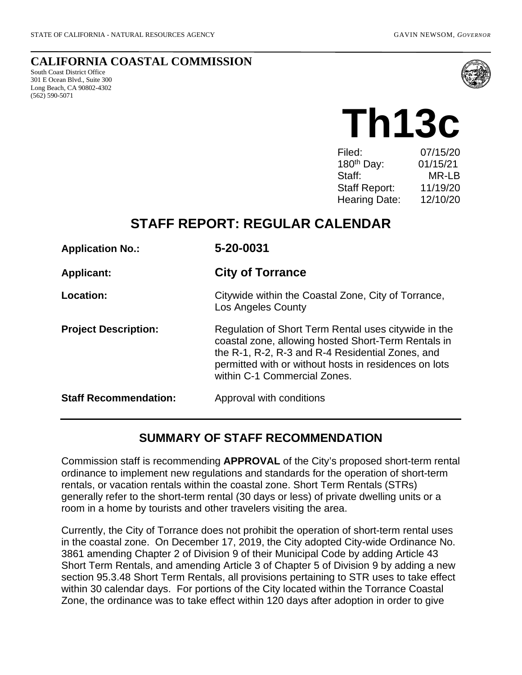#### **CALIFORNIA COASTAL COMMISSION**

South Coast District Office 301 E Ocean Blvd., Suite 300 Long Beach, CA 90802-4302 (562) 590-5071



# **Th13c**

| Filed:                 | 07/15/20 |
|------------------------|----------|
| 180 <sup>th</sup> Day: | 01/15/21 |
| Staff:                 | MR-LB    |
| Staff Report:          | 11/19/20 |
| <b>Hearing Date:</b>   | 12/10/20 |
|                        |          |

# **STAFF REPORT: REGULAR CALENDAR**

| <b>Application No.:</b>      | 5-20-0031                                                                                                                                                                                                                                                |  |
|------------------------------|----------------------------------------------------------------------------------------------------------------------------------------------------------------------------------------------------------------------------------------------------------|--|
| <b>Applicant:</b>            | <b>City of Torrance</b>                                                                                                                                                                                                                                  |  |
| Location:                    | Citywide within the Coastal Zone, City of Torrance,<br>Los Angeles County                                                                                                                                                                                |  |
| <b>Project Description:</b>  | Regulation of Short Term Rental uses citywide in the<br>coastal zone, allowing hosted Short-Term Rentals in<br>the R-1, R-2, R-3 and R-4 Residential Zones, and<br>permitted with or without hosts in residences on lots<br>within C-1 Commercial Zones. |  |
| <b>Staff Recommendation:</b> | Approval with conditions                                                                                                                                                                                                                                 |  |

## **SUMMARY OF STAFF RECOMMENDATION**

Commission staff is recommending **APPROVAL** of the City's proposed short-term rental ordinance to implement new regulations and standards for the operation of short-term rentals, or vacation rentals within the coastal zone. Short Term Rentals (STRs) generally refer to the short-term rental (30 days or less) of private dwelling units or a room in a home by tourists and other travelers visiting the area.

Currently, the City of Torrance does not prohibit the operation of short-term rental uses in the coastal zone. On December 17, 2019, the City adopted City-wide Ordinance No. 3861 amending Chapter 2 of Division 9 of their Municipal Code by adding Article 43 Short Term Rentals, and amending Article 3 of Chapter 5 of Division 9 by adding a new section 95.3.48 Short Term Rentals, all provisions pertaining to STR uses to take effect within 30 calendar days. For portions of the City located within the Torrance Coastal Zone, the ordinance was to take effect within 120 days after adoption in order to give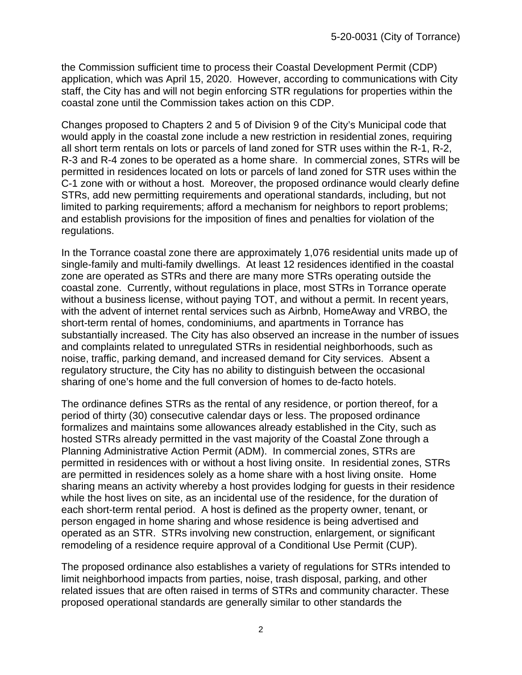the Commission sufficient time to process their Coastal Development Permit (CDP) application, which was April 15, 2020. However, according to communications with City staff, the City has and will not begin enforcing STR regulations for properties within the coastal zone until the Commission takes action on this CDP.

Changes proposed to Chapters 2 and 5 of Division 9 of the City's Municipal code that would apply in the coastal zone include a new restriction in residential zones, requiring all short term rentals on lots or parcels of land zoned for STR uses within the R-1, R-2, R-3 and R-4 zones to be operated as a home share. In commercial zones, STRs will be permitted in residences located on lots or parcels of land zoned for STR uses within the C-1 zone with or without a host. Moreover, the proposed ordinance would clearly define STRs, add new permitting requirements and operational standards, including, but not limited to parking requirements; afford a mechanism for neighbors to report problems; and establish provisions for the imposition of fines and penalties for violation of the regulations.

In the Torrance coastal zone there are approximately 1,076 residential units made up of single-family and multi-family dwellings. At least 12 residences identified in the coastal zone are operated as STRs and there are many more STRs operating outside the coastal zone. Currently, without regulations in place, most STRs in Torrance operate without a business license, without paying TOT, and without a permit. In recent years, with the advent of internet rental services such as Airbnb, HomeAway and VRBO, the short-term rental of homes, condominiums, and apartments in Torrance has substantially increased. The City has also observed an increase in the number of issues and complaints related to unregulated STRs in residential neighborhoods, such as noise, traffic, parking demand, and increased demand for City services. Absent a regulatory structure, the City has no ability to distinguish between the occasional sharing of one's home and the full conversion of homes to de-facto hotels.

The ordinance defines STRs as the rental of any residence, or portion thereof, for a period of thirty (30) consecutive calendar days or less. The proposed ordinance formalizes and maintains some allowances already established in the City, such as hosted STRs already permitted in the vast majority of the Coastal Zone through a Planning Administrative Action Permit (ADM). In commercial zones, STRs are permitted in residences with or without a host living onsite. In residential zones, STRs are permitted in residences solely as a home share with a host living onsite. Home sharing means an activity whereby a host provides lodging for guests in their residence while the host lives on site, as an incidental use of the residence, for the duration of each short-term rental period. A host is defined as the property owner, tenant, or person engaged in home sharing and whose residence is being advertised and operated as an STR. STRs involving new construction, enlargement, or significant remodeling of a residence require approval of a Conditional Use Permit (CUP).

The proposed ordinance also establishes a variety of regulations for STRs intended to limit neighborhood impacts from parties, noise, trash disposal, parking, and other related issues that are often raised in terms of STRs and community character. These proposed operational standards are generally similar to other standards the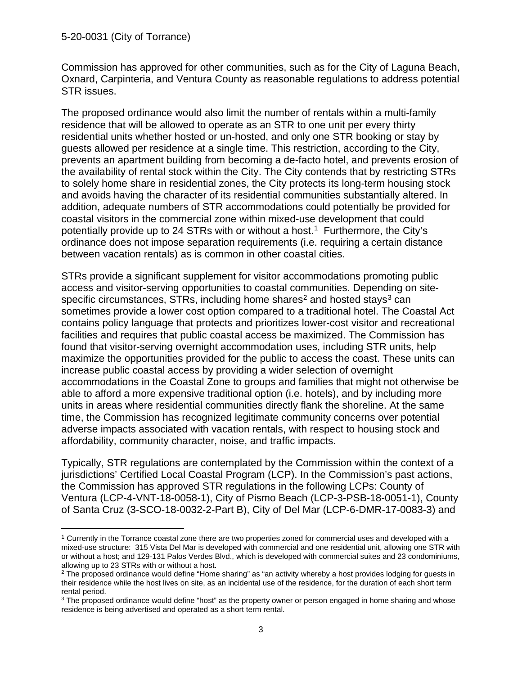Commission has approved for other communities, such as for the City of Laguna Beach, Oxnard, Carpinteria, and Ventura County as reasonable regulations to address potential STR issues.

The proposed ordinance would also limit the number of rentals within a multi-family residence that will be allowed to operate as an STR to one unit per every thirty residential units whether hosted or un-hosted, and only one STR booking or stay by guests allowed per residence at a single time. This restriction, according to the City, prevents an apartment building from becoming a de-facto hotel, and prevents erosion of the availability of rental stock within the City. The City contends that by restricting STRs to solely home share in residential zones, the City protects its long-term housing stock and avoids having the character of its residential communities substantially altered. In addition, adequate numbers of STR accommodations could potentially be provided for coastal visitors in the commercial zone within mixed-use development that could potentially provide up to 24 STRs with or without a host.<sup>[1](#page-2-0)</sup> Furthermore, the City's ordinance does not impose separation requirements (i.e. requiring a certain distance between vacation rentals) as is common in other coastal cities.

STRs provide a significant supplement for visitor accommodations promoting public access and visitor-serving opportunities to coastal communities. Depending on site-specific circumstances, STRs, including home shares<sup>[2](#page-2-1)</sup> and hosted stays<sup>[3](#page-2-2)</sup> can sometimes provide a lower cost option compared to a traditional hotel. The Coastal Act contains policy language that protects and prioritizes lower-cost visitor and recreational facilities and requires that public coastal access be maximized. The Commission has found that visitor-serving overnight accommodation uses, including STR units, help maximize the opportunities provided for the public to access the coast. These units can increase public coastal access by providing a wider selection of overnight accommodations in the Coastal Zone to groups and families that might not otherwise be able to afford a more expensive traditional option (i.e. hotels), and by including more units in areas where residential communities directly flank the shoreline. At the same time, the Commission has recognized legitimate community concerns over potential adverse impacts associated with vacation rentals, with respect to housing stock and affordability, community character, noise, and traffic impacts.

Typically, STR regulations are contemplated by the Commission within the context of a jurisdictions' Certified Local Coastal Program (LCP). In the Commission's past actions, the Commission has approved STR regulations in the following LCPs: County of Ventura (LCP-4-VNT-18-0058-1), City of Pismo Beach (LCP-3-PSB-18-0051-1), County of Santa Cruz (3-SCO-18-0032-2-Part B), City of Del Mar (LCP-6-DMR-17-0083-3) and

<span id="page-2-0"></span><sup>&</sup>lt;sup>1</sup> Currently in the Torrance coastal zone there are two properties zoned for commercial uses and developed with a mixed-use structure: 315 Vista Del Mar is developed with commercial and one residential unit, allowing one STR with or without a host; and 129-131 Palos Verdes Blvd., which is developed with commercial suites and 23 condominiums, allowing up to 23 STRs with or without a host.

<span id="page-2-1"></span><sup>&</sup>lt;sup>2</sup> The proposed ordinance would define "Home sharing" as "an activity whereby a host provides lodging for guests in their residence while the host lives on site, as an incidental use of the residence, for the duration of each short term rental period.

<span id="page-2-2"></span><sup>&</sup>lt;sup>3</sup> The proposed ordinance would define "host" as the property owner or person engaged in home sharing and whose residence is being advertised and operated as a short term rental.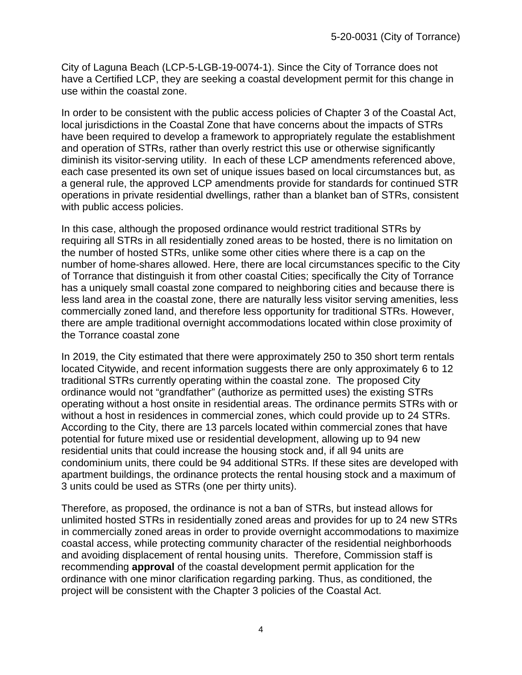City of Laguna Beach (LCP-5-LGB-19-0074-1). Since the City of Torrance does not have a Certified LCP, they are seeking a coastal development permit for this change in use within the coastal zone.

In order to be consistent with the public access policies of Chapter 3 of the Coastal Act, local jurisdictions in the Coastal Zone that have concerns about the impacts of STRs have been required to develop a framework to appropriately regulate the establishment and operation of STRs, rather than overly restrict this use or otherwise significantly diminish its visitor-serving utility. In each of these LCP amendments referenced above, each case presented its own set of unique issues based on local circumstances but, as a general rule, the approved LCP amendments provide for standards for continued STR operations in private residential dwellings, rather than a blanket ban of STRs, consistent with public access policies.

In this case, although the proposed ordinance would restrict traditional STRs by requiring all STRs in all residentially zoned areas to be hosted, there is no limitation on the number of hosted STRs, unlike some other cities where there is a cap on the number of home-shares allowed. Here, there are local circumstances specific to the City of Torrance that distinguish it from other coastal Cities; specifically the City of Torrance has a uniquely small coastal zone compared to neighboring cities and because there is less land area in the coastal zone, there are naturally less visitor serving amenities, less commercially zoned land, and therefore less opportunity for traditional STRs. However, there are ample traditional overnight accommodations located within close proximity of the Torrance coastal zone

In 2019, the City estimated that there were approximately 250 to 350 short term rentals located Citywide, and recent information suggests there are only approximately 6 to 12 traditional STRs currently operating within the coastal zone. The proposed City ordinance would not "grandfather" (authorize as permitted uses) the existing STRs operating without a host onsite in residential areas. The ordinance permits STRs with or without a host in residences in commercial zones, which could provide up to 24 STRs. According to the City, there are 13 parcels located within commercial zones that have potential for future mixed use or residential development, allowing up to 94 new residential units that could increase the housing stock and, if all 94 units are condominium units, there could be 94 additional STRs. If these sites are developed with apartment buildings, the ordinance protects the rental housing stock and a maximum of 3 units could be used as STRs (one per thirty units).

Therefore, as proposed, the ordinance is not a ban of STRs, but instead allows for unlimited hosted STRs in residentially zoned areas and provides for up to 24 new STRs in commercially zoned areas in order to provide overnight accommodations to maximize coastal access, while protecting community character of the residential neighborhoods and avoiding displacement of rental housing units. Therefore, Commission staff is recommending **approval** of the coastal development permit application for the ordinance with one minor clarification regarding parking. Thus, as conditioned, the project will be consistent with the Chapter 3 policies of the Coastal Act.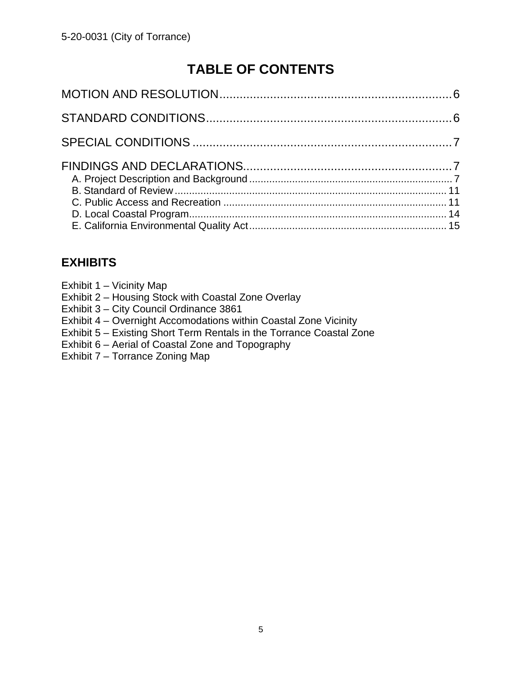# **TABLE OF CONTENTS**

## **EXHIBITS**

- Exhibit 1 Vicinity Map
- Exhibit 2 Housing Stock with Coastal Zone Overlay
- Exhibit 3 City Council Ordinance 3861
- Exhibit 4 Overnight Accomodations within Coastal Zone Vicinity
- Exhibit 5 Existing Short Term Rentals in the Torrance Coastal Zone
- Exhibit 6 Aerial of Coastal Zone and Topography
- Exhibit 7 Torrance Zoning Map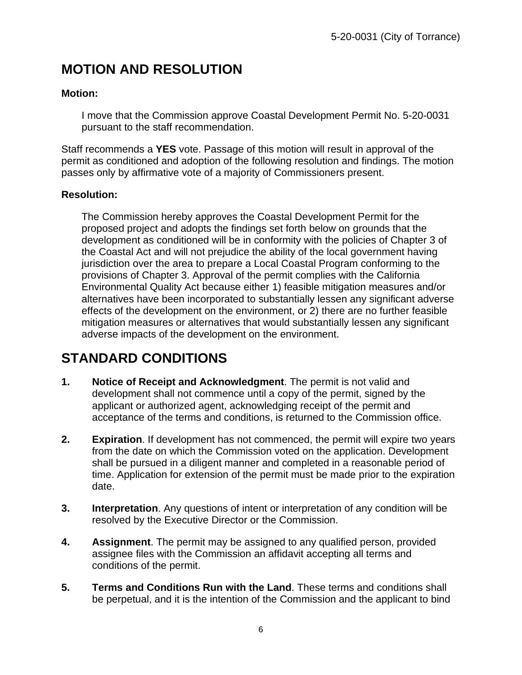# **MOTION AND RESOLUTION**

#### **Motion:**

I move that the Commission approve Coastal Development Permit No. 5-20-0031 pursuant to the staff recommendation.

Staff recommends a **YES** vote. Passage of this motion will result in approval of the permit as conditioned and adoption of the following resolution and findings. The motion passes only by affirmative vote of a majority of Commissioners present.

#### **Resolution:**

The Commission hereby approves the Coastal Development Permit for the proposed project and adopts the findings set forth below on grounds that the development as conditioned will be in conformity with the policies of Chapter 3 of the Coastal Act and will not prejudice the ability of the local government having jurisdiction over the area to prepare a Local Coastal Program conforming to the provisions of Chapter 3. Approval of the permit complies with the California Environmental Quality Act because either 1) feasible mitigation measures and/or alternatives have been incorporated to substantially lessen any significant adverse effects of the development on the environment, or 2) there are no further feasible mitigation measures or alternatives that would substantially lessen any significant adverse impacts of the development on the environment.

# **STANDARD CONDITIONS**

- **1. Notice of Receipt and Acknowledgment**. The permit is not valid and development shall not commence until a copy of the permit, signed by the applicant or authorized agent, acknowledging receipt of the permit and acceptance of the terms and conditions, is returned to the Commission office.
- **2. Expiration**. If development has not commenced, the permit will expire two years from the date on which the Commission voted on the application. Development shall be pursued in a diligent manner and completed in a reasonable period of time. Application for extension of the permit must be made prior to the expiration date.
- **3. Interpretation**. Any questions of intent or interpretation of any condition will be resolved by the Executive Director or the Commission.
- **4. Assignment**. The permit may be assigned to any qualified person, provided assignee files with the Commission an affidavit accepting all terms and conditions of the permit.
- **5. Terms and Conditions Run with the Land**. These terms and conditions shall be perpetual, and it is the intention of the Commission and the applicant to bind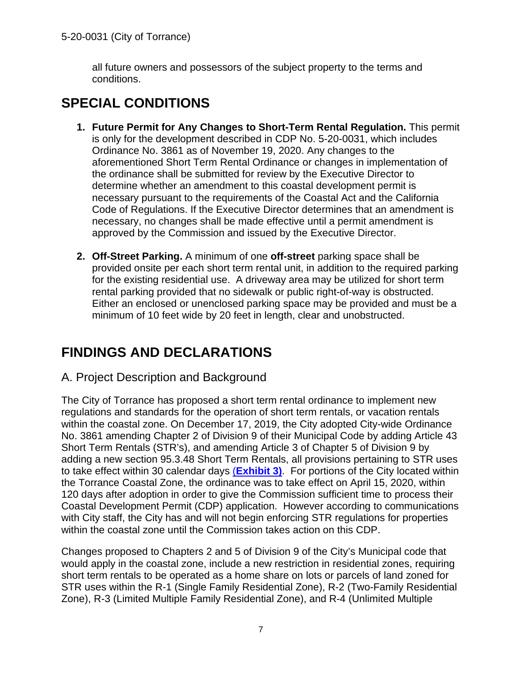all future owners and possessors of the subject property to the terms and conditions.

# **SPECIAL CONDITIONS**

- **1. Future Permit for Any Changes to Short-Term Rental Regulation.** This permit is only for the development described in CDP No. 5-20-0031, which includes Ordinance No. 3861 as of November 19, 2020. Any changes to the aforementioned Short Term Rental Ordinance or changes in implementation of the ordinance shall be submitted for review by the Executive Director to determine whether an amendment to this coastal development permit is necessary pursuant to the requirements of the Coastal Act and the California Code of Regulations. If the Executive Director determines that an amendment is necessary, no changes shall be made effective until a permit amendment is approved by the Commission and issued by the Executive Director.
- **2. Off-Street Parking.** A minimum of one **off-street** parking space shall be provided onsite per each short term rental unit, in addition to the required parking for the existing residential use. A driveway area may be utilized for short term rental parking provided that no sidewalk or public right-of-way is obstructed. Either an enclosed or unenclosed parking space may be provided and must be a minimum of 10 feet wide by 20 feet in length, clear and unobstructed.

# **FINDINGS AND DECLARATIONS**

## A. Project Description and Background

The City of Torrance has proposed a short term rental ordinance to implement new regulations and standards for the operation of short term rentals, or vacation rentals within the coastal zone. On December 17, 2019, the City adopted City-wide Ordinance No. 3861 amending Chapter 2 of Division 9 of their Municipal Code by adding Article 43 Short Term Rentals (STR's), and amending Article 3 of Chapter 5 of Division 9 by adding a new section 95.3.48 Short Term Rentals, all provisions pertaining to STR uses to take effect within 30 calendar days (**[Exhibit 3\)](https://documents.coastal.ca.gov/reports/2020/12/Th13c/Th13c-12-2020-exhibits.pdf)**. For portions of the City located within the Torrance Coastal Zone, the ordinance was to take effect on April 15, 2020, within 120 days after adoption in order to give the Commission sufficient time to process their Coastal Development Permit (CDP) application. However according to communications with City staff, the City has and will not begin enforcing STR regulations for properties within the coastal zone until the Commission takes action on this CDP.

Changes proposed to Chapters 2 and 5 of Division 9 of the City's Municipal code that would apply in the coastal zone, include a new restriction in residential zones, requiring short term rentals to be operated as a home share on lots or parcels of land zoned for STR uses within the R-1 (Single Family Residential Zone), R-2 (Two-Family Residential Zone), R-3 (Limited Multiple Family Residential Zone), and R-4 (Unlimited Multiple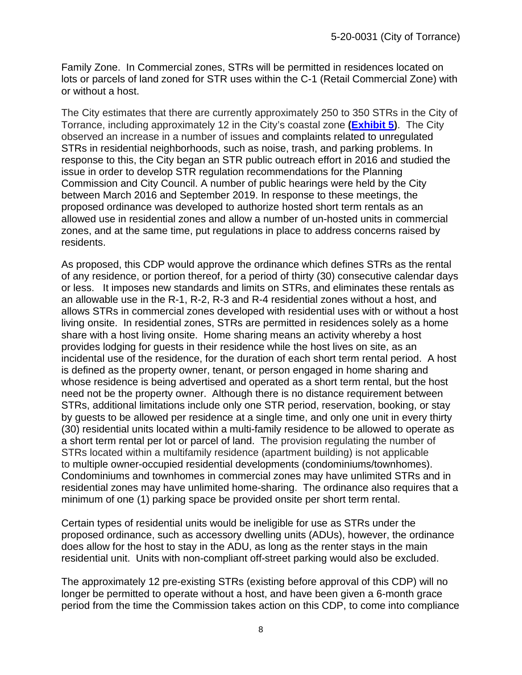Family Zone. In Commercial zones, STRs will be permitted in residences located on lots or parcels of land zoned for STR uses within the C-1 (Retail Commercial Zone) with or without a host.

The City estimates that there are currently approximately 250 to 350 STRs in the City of Torrance, including approximately 12 in the City's coastal zone **[\(Exhibit 5\)](https://documents.coastal.ca.gov/reports/2020/12/Th13c/Th13c-12-2020-exhibits.pdf)**. The City observed an increase in a number of issues and complaints related to unregulated STRs in residential neighborhoods, such as noise, trash, and parking problems. In response to this, the City began an STR public outreach effort in 2016 and studied the issue in order to develop STR regulation recommendations for the Planning Commission and City Council. A number of public hearings were held by the City between March 2016 and September 2019. In response to these meetings, the proposed ordinance was developed to authorize hosted short term rentals as an allowed use in residential zones and allow a number of un-hosted units in commercial zones, and at the same time, put regulations in place to address concerns raised by residents.

As proposed, this CDP would approve the ordinance which defines STRs as the rental of any residence, or portion thereof, for a period of thirty (30) consecutive calendar days or less. It imposes new standards and limits on STRs, and eliminates these rentals as an allowable use in the R-1, R-2, R-3 and R-4 residential zones without a host, and allows STRs in commercial zones developed with residential uses with or without a host living onsite. In residential zones, STRs are permitted in residences solely as a home share with a host living onsite. Home sharing means an activity whereby a host provides lodging for guests in their residence while the host lives on site, as an incidental use of the residence, for the duration of each short term rental period. A host is defined as the property owner, tenant, or person engaged in home sharing and whose residence is being advertised and operated as a short term rental, but the host need not be the property owner. Although there is no distance requirement between STRs, additional limitations include only one STR period, reservation, booking, or stay by guests to be allowed per residence at a single time, and only one unit in every thirty (30) residential units located within a multi-family residence to be allowed to operate as a short term rental per lot or parcel of land. The provision regulating the number of STRs located within a multifamily residence (apartment building) is not applicable to multiple owner-occupied residential developments (condominiums/townhomes). Condominiums and townhomes in commercial zones may have unlimited STRs and in residential zones may have unlimited home-sharing. The ordinance also requires that a minimum of one (1) parking space be provided onsite per short term rental.

Certain types of residential units would be ineligible for use as STRs under the proposed ordinance, such as accessory dwelling units (ADUs), however, the ordinance does allow for the host to stay in the ADU, as long as the renter stays in the main residential unit. Units with non-compliant off-street parking would also be excluded.

The approximately 12 pre-existing STRs (existing before approval of this CDP) will no longer be permitted to operate without a host, and have been given a 6-month grace period from the time the Commission takes action on this CDP, to come into compliance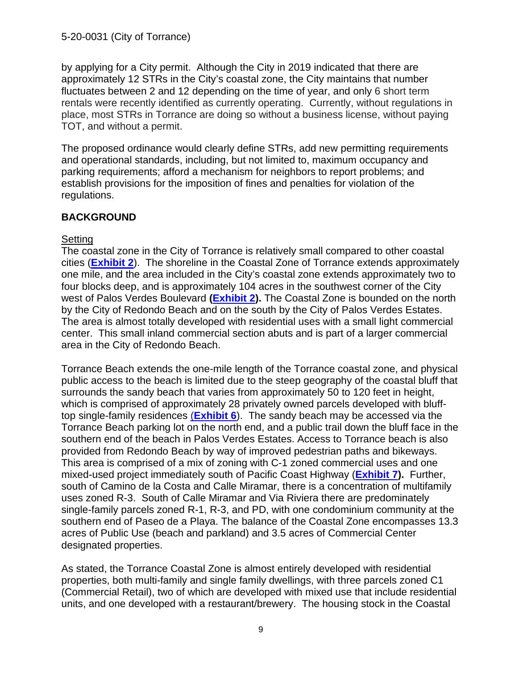by applying for a City permit. Although the City in 2019 indicated that there are approximately 12 STRs in the City's coastal zone, the City maintains that number fluctuates between 2 and 12 depending on the time of year, and only 6 short term rentals were recently identified as currently operating. Currently, without regulations in place, most STRs in Torrance are doing so without a business license, without paying TOT, and without a permit.

The proposed ordinance would clearly define STRs, add new permitting requirements and operational standards, including, but not limited to, maximum occupancy and parking requirements; afford a mechanism for neighbors to report problems; and establish provisions for the imposition of fines and penalties for violation of the regulations.

#### **BACKGROUND**

#### **Setting**

The coastal zone in the City of Torrance is relatively small compared to other coastal cities (**[Exhibit 2](https://documents.coastal.ca.gov/reports/2020/12/Th13c/Th13c-12-2020-exhibits.pdf)**). The shoreline in the Coastal Zone of Torrance extends approximately one mile, and the area included in the City's coastal zone extends approximately two to four blocks deep, and is approximately 104 acres in the southwest corner of the City west of Palos Verdes Boulevard **[\(Exhibit 2\)](https://documents.coastal.ca.gov/reports/2020/12/Th13c/Th13c-12-2020-exhibits.pdf).** The Coastal Zone is bounded on the north by the City of Redondo Beach and on the south by the City of Palos Verdes Estates. The area is almost totally developed with residential uses with a small light commercial center. This small inland commercial section abuts and is part of a larger commercial area in the City of Redondo Beach.

Torrance Beach extends the one-mile length of the Torrance coastal zone, and physical public access to the beach is limited due to the steep geography of the coastal bluff that surrounds the sandy beach that varies from approximately 50 to 120 feet in height, which is comprised of approximately 28 privately owned parcels developed with blufftop single-family residences (**[Exhibit 6](https://documents.coastal.ca.gov/reports/2020/12/Th13c/Th13c-12-2020-exhibits.pdf)**). The sandy beach may be accessed via the Torrance Beach parking lot on the north end, and a public trail down the bluff face in the southern end of the beach in Palos Verdes Estates. Access to Torrance beach is also provided from Redondo Beach by way of improved pedestrian paths and bikeways. This area is comprised of a mix of zoning with C-1 zoned commercial uses and one mixed-used project immediately south of Pacific Coast Highway (**[Exhibit 7\)](https://documents.coastal.ca.gov/reports/2020/12/Th13c/Th13c-12-2020-exhibits.pdf).** Further, south of Camino de la Costa and Calle Miramar, there is a concentration of multifamily uses zoned R-3. South of Calle Miramar and Via Riviera there are predominately single-family parcels zoned R-1, R-3, and PD, with one condominium community at the southern end of Paseo de a Playa. The balance of the Coastal Zone encompasses 13.3 acres of Public Use (beach and parkland) and 3.5 acres of Commercial Center designated properties.

As stated, the Torrance Coastal Zone is almost entirely developed with residential properties, both multi-family and single family dwellings, with three parcels zoned C1 (Commercial Retail), two of which are developed with mixed use that include residential units, and one developed with a restaurant/brewery. The housing stock in the Coastal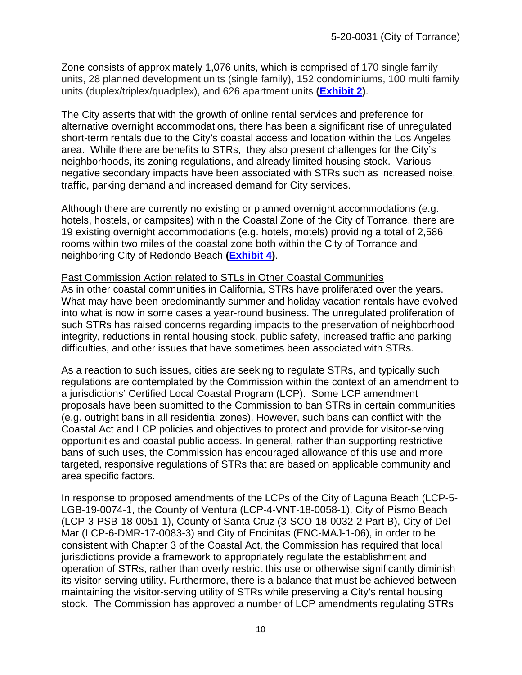Zone consists of approximately 1,076 units, which is comprised of 170 single family units, 28 planned development units (single family), 152 condominiums, 100 multi family units (duplex/triplex/quadplex), and 626 apartment units **[\(Exhibit 2\)](https://documents.coastal.ca.gov/reports/2020/12/Th13c/Th13c-12-2020-exhibits.pdf)**.

The City asserts that with the growth of online rental services and preference for alternative overnight accommodations, there has been a significant rise of unregulated short-term rentals due to the City's coastal access and location within the Los Angeles area. While there are benefits to STRs, they also present challenges for the City's neighborhoods, its zoning regulations, and already limited housing stock. Various negative secondary impacts have been associated with STRs such as increased noise, traffic, parking demand and increased demand for City services.

Although there are currently no existing or planned overnight accommodations (e.g. hotels, hostels, or campsites) within the Coastal Zone of the City of Torrance, there are 19 existing overnight accommodations (e.g. hotels, motels) providing a total of 2,586 rooms within two miles of the coastal zone both within the City of Torrance and neighboring City of Redondo Beach **[\(Exhibit 4\)](https://documents.coastal.ca.gov/reports/2020/12/Th13c/Th13c-12-2020-exhibits.pdf)**.

## Past Commission Action related to STLs in Other Coastal Communities

As in other coastal communities in California, STRs have proliferated over the years. What may have been predominantly summer and holiday vacation rentals have evolved into what is now in some cases a year-round business. The unregulated proliferation of such STRs has raised concerns regarding impacts to the preservation of neighborhood integrity, reductions in rental housing stock, public safety, increased traffic and parking difficulties, and other issues that have sometimes been associated with STRs.

As a reaction to such issues, cities are seeking to regulate STRs, and typically such regulations are contemplated by the Commission within the context of an amendment to a jurisdictions' Certified Local Coastal Program (LCP). Some LCP amendment proposals have been submitted to the Commission to ban STRs in certain communities (e.g. outright bans in all residential zones). However, such bans can conflict with the Coastal Act and LCP policies and objectives to protect and provide for visitor-serving opportunities and coastal public access. In general, rather than supporting restrictive bans of such uses, the Commission has encouraged allowance of this use and more targeted, responsive regulations of STRs that are based on applicable community and area specific factors.

In response to proposed amendments of the LCPs of the City of Laguna Beach (LCP-5- LGB-19-0074-1, the County of Ventura (LCP-4-VNT-18-0058-1), City of Pismo Beach (LCP-3-PSB-18-0051-1), County of Santa Cruz (3-SCO-18-0032-2-Part B), City of Del Mar (LCP-6-DMR-17-0083-3) and City of Encinitas (ENC-MAJ-1-06), in order to be consistent with Chapter 3 of the Coastal Act, the Commission has required that local jurisdictions provide a framework to appropriately regulate the establishment and operation of STRs, rather than overly restrict this use or otherwise significantly diminish its visitor-serving utility. Furthermore, there is a balance that must be achieved between maintaining the visitor-serving utility of STRs while preserving a City's rental housing stock. The Commission has approved a number of LCP amendments regulating STRs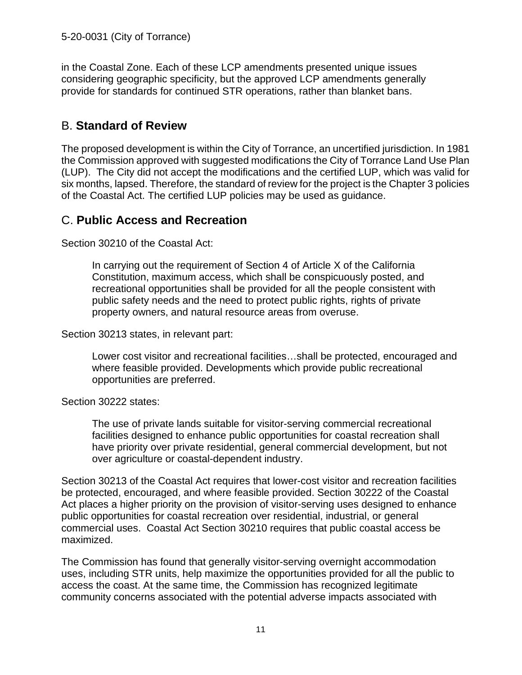in the Coastal Zone. Each of these LCP amendments presented unique issues considering geographic specificity, but the approved LCP amendments generally provide for standards for continued STR operations, rather than blanket bans.

## B. **Standard of Review**

The proposed development is within the City of Torrance, an uncertified jurisdiction. In 1981 the Commission approved with suggested modifications the City of Torrance Land Use Plan (LUP). The City did not accept the modifications and the certified LUP, which was valid for six months, lapsed. Therefore, the standard of review for the project is the Chapter 3 policies of the Coastal Act. The certified LUP policies may be used as guidance.

## C. **Public Access and Recreation**

Section 30210 of the Coastal Act:

In carrying out the requirement of Section 4 of Article X of the California Constitution, maximum access, which shall be conspicuously posted, and recreational opportunities shall be provided for all the people consistent with public safety needs and the need to protect public rights, rights of private property owners, and natural resource areas from overuse.

Section 30213 states, in relevant part:

Lower cost visitor and recreational facilities…shall be protected, encouraged and where feasible provided. Developments which provide public recreational opportunities are preferred.

#### Section 30222 states:

The use of private lands suitable for visitor-serving commercial recreational facilities designed to enhance public opportunities for coastal recreation shall have priority over private residential, general commercial development, but not over agriculture or coastal-dependent industry.

Section 30213 of the Coastal Act requires that lower-cost visitor and recreation facilities be protected, encouraged, and where feasible provided. Section 30222 of the Coastal Act places a higher priority on the provision of visitor-serving uses designed to enhance public opportunities for coastal recreation over residential, industrial, or general commercial uses. Coastal Act Section 30210 requires that public coastal access be maximized.

The Commission has found that generally visitor-serving overnight accommodation uses, including STR units, help maximize the opportunities provided for all the public to access the coast. At the same time, the Commission has recognized legitimate community concerns associated with the potential adverse impacts associated with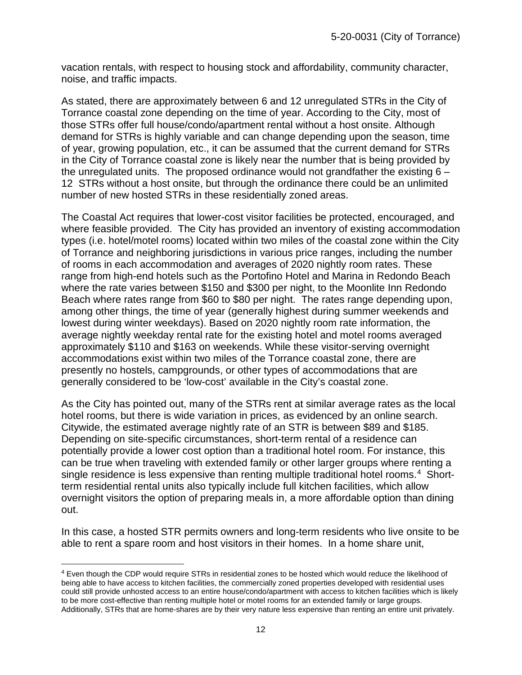vacation rentals, with respect to housing stock and affordability, community character, noise, and traffic impacts.

As stated, there are approximately between 6 and 12 unregulated STRs in the City of Torrance coastal zone depending on the time of year. According to the City, most of those STRs offer full house/condo/apartment rental without a host onsite. Although demand for STRs is highly variable and can change depending upon the season, time of year, growing population, etc., it can be assumed that the current demand for STRs in the City of Torrance coastal zone is likely near the number that is being provided by the unregulated units. The proposed ordinance would not grandfather the existing  $6 -$ 12 STRs without a host onsite, but through the ordinance there could be an unlimited number of new hosted STRs in these residentially zoned areas.

The Coastal Act requires that lower-cost visitor facilities be protected, encouraged, and where feasible provided. The City has provided an inventory of existing accommodation types (i.e. hotel/motel rooms) located within two miles of the coastal zone within the City of Torrance and neighboring jurisdictions in various price ranges, including the number of rooms in each accommodation and averages of 2020 nightly room rates. These range from high-end hotels such as the Portofino Hotel and Marina in Redondo Beach where the rate varies between \$150 and \$300 per night, to the Moonlite Inn Redondo Beach where rates range from \$60 to \$80 per night. The rates range depending upon, among other things, the time of year (generally highest during summer weekends and lowest during winter weekdays). Based on 2020 nightly room rate information, the average nightly weekday rental rate for the existing hotel and motel rooms averaged approximately \$110 and \$163 on weekends. While these visitor-serving overnight accommodations exist within two miles of the Torrance coastal zone, there are presently no hostels, campgrounds, or other types of accommodations that are generally considered to be 'low-cost' available in the City's coastal zone.

As the City has pointed out, many of the STRs rent at similar average rates as the local hotel rooms, but there is wide variation in prices, as evidenced by an online search. Citywide, the estimated average nightly rate of an STR is between \$89 and \$185. Depending on site-specific circumstances, short-term rental of a residence can potentially provide a lower cost option than a traditional hotel room. For instance, this can be true when traveling with extended family or other larger groups where renting a single residence is less expensive than renting multiple traditional hotel rooms.[4](#page-11-0) Shortterm residential rental units also typically include full kitchen facilities, which allow overnight visitors the option of preparing meals in, a more affordable option than dining out.

In this case, a hosted STR permits owners and long-term residents who live onsite to be able to rent a spare room and host visitors in their homes. In a home share unit,

<span id="page-11-0"></span><sup>4</sup> Even though the CDP would require STRs in residential zones to be hosted which would reduce the likelihood of being able to have access to kitchen facilities, the commercially zoned properties developed with residential uses could still provide unhosted access to an entire house/condo/apartment with access to kitchen facilities which is likely to be more cost-effective than renting multiple hotel or motel rooms for an extended family or large groups. Additionally, STRs that are home-shares are by their very nature less expensive than renting an entire unit privately.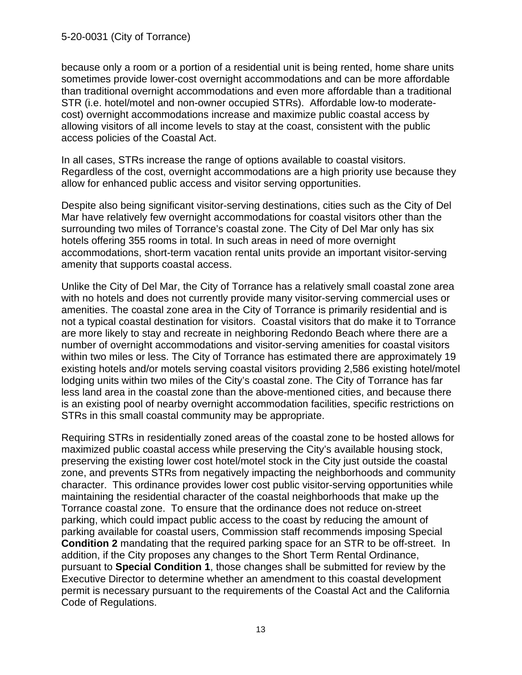because only a room or a portion of a residential unit is being rented, home share units sometimes provide lower-cost overnight accommodations and can be more affordable than traditional overnight accommodations and even more affordable than a traditional STR (i.e. hotel/motel and non-owner occupied STRs). Affordable low-to moderatecost) overnight accommodations increase and maximize public coastal access by allowing visitors of all income levels to stay at the coast, consistent with the public access policies of the Coastal Act.

In all cases, STRs increase the range of options available to coastal visitors. Regardless of the cost, overnight accommodations are a high priority use because they allow for enhanced public access and visitor serving opportunities.

Despite also being significant visitor-serving destinations, cities such as the City of Del Mar have relatively few overnight accommodations for coastal visitors other than the surrounding two miles of Torrance's coastal zone. The City of Del Mar only has six hotels offering 355 rooms in total. In such areas in need of more overnight accommodations, short-term vacation rental units provide an important visitor-serving amenity that supports coastal access.

Unlike the City of Del Mar, the City of Torrance has a relatively small coastal zone area with no hotels and does not currently provide many visitor-serving commercial uses or amenities. The coastal zone area in the City of Torrance is primarily residential and is not a typical coastal destination for visitors. Coastal visitors that do make it to Torrance are more likely to stay and recreate in neighboring Redondo Beach where there are a number of overnight accommodations and visitor-serving amenities for coastal visitors within two miles or less. The City of Torrance has estimated there are approximately 19 existing hotels and/or motels serving coastal visitors providing 2,586 existing hotel/motel lodging units within two miles of the City's coastal zone. The City of Torrance has far less land area in the coastal zone than the above-mentioned cities, and because there is an existing pool of nearby overnight accommodation facilities, specific restrictions on STRs in this small coastal community may be appropriate.

Requiring STRs in residentially zoned areas of the coastal zone to be hosted allows for maximized public coastal access while preserving the City's available housing stock, preserving the existing lower cost hotel/motel stock in the City just outside the coastal zone, and prevents STRs from negatively impacting the neighborhoods and community character. This ordinance provides lower cost public visitor-serving opportunities while maintaining the residential character of the coastal neighborhoods that make up the Torrance coastal zone. To ensure that the ordinance does not reduce on-street parking, which could impact public access to the coast by reducing the amount of parking available for coastal users, Commission staff recommends imposing Special **Condition 2** mandating that the required parking space for an STR to be off-street. In addition, if the City proposes any changes to the Short Term Rental Ordinance, pursuant to **Special Condition 1**, those changes shall be submitted for review by the Executive Director to determine whether an amendment to this coastal development permit is necessary pursuant to the requirements of the Coastal Act and the California Code of Regulations.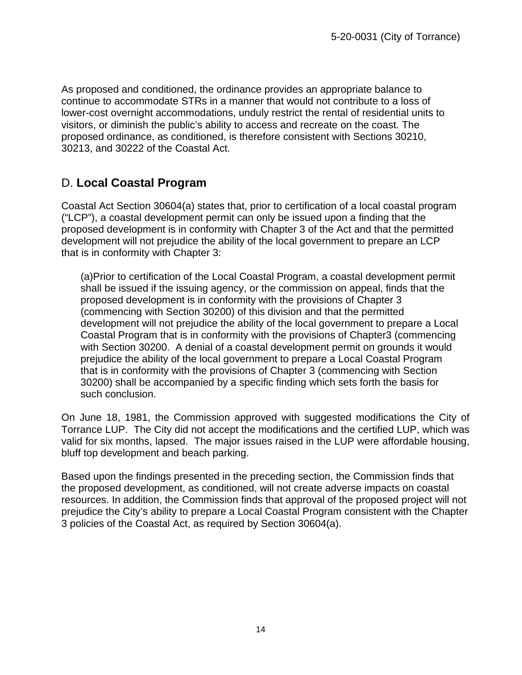As proposed and conditioned, the ordinance provides an appropriate balance to continue to accommodate STRs in a manner that would not contribute to a loss of lower-cost overnight accommodations, unduly restrict the rental of residential units to visitors, or diminish the public's ability to access and recreate on the coast. The proposed ordinance, as conditioned, is therefore consistent with Sections 30210, 30213, and 30222 of the Coastal Act.

## D. **Local Coastal Program**

Coastal Act Section 30604(a) states that, prior to certification of a local coastal program ("LCP"), a coastal development permit can only be issued upon a finding that the proposed development is in conformity with Chapter 3 of the Act and that the permitted development will not prejudice the ability of the local government to prepare an LCP that is in conformity with Chapter 3:

(a)Prior to certification of the Local Coastal Program, a coastal development permit shall be issued if the issuing agency, or the commission on appeal, finds that the proposed development is in conformity with the provisions of Chapter 3 (commencing with Section 30200) of this division and that the permitted development will not prejudice the ability of the local government to prepare a Local Coastal Program that is in conformity with the provisions of Chapter3 (commencing with Section 30200. A denial of a coastal development permit on grounds it would prejudice the ability of the local government to prepare a Local Coastal Program that is in conformity with the provisions of Chapter 3 (commencing with Section 30200) shall be accompanied by a specific finding which sets forth the basis for such conclusion.

On June 18, 1981, the Commission approved with suggested modifications the City of Torrance LUP. The City did not accept the modifications and the certified LUP, which was valid for six months, lapsed. The major issues raised in the LUP were affordable housing, bluff top development and beach parking.

Based upon the findings presented in the preceding section, the Commission finds that the proposed development, as conditioned, will not create adverse impacts on coastal resources. In addition, the Commission finds that approval of the proposed project will not prejudice the City's ability to prepare a Local Coastal Program consistent with the Chapter 3 policies of the Coastal Act, as required by Section 30604(a).